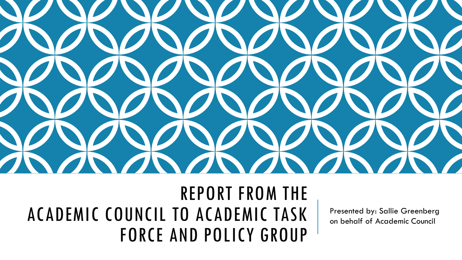

### REPORT FROM THE ACADEMIC COUNCIL TO ACADEMIC TASK FORCE AND POLICY GROUP

Presented by: Sallie Greenberg on behalf of Academic Council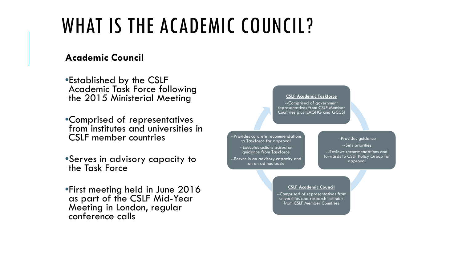## WHAT IS THE ACADEMIC COUNCIL?

#### **Academic Council**

•Established by the CSLF Academic Task Force following the 2015 Ministerial Meeting

- •Comprised of representatives from institutes and universities in CSLF member countries
- •Serves in advisory capacity to the Task Force
- •First meeting held in June 2016 as part of the CSLF Mid-Year Meeting in London, regular conference calls

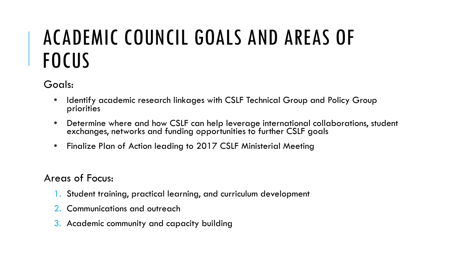# ACADEMIC COUNCIL GOALS AND AREAS OF **FOCUS**

Goals:

- Identify academic research linkages with CSLF Technical Group and Policy Group priorities
- Determine where and how CSLF can help leverage international collaborations, student exchanges, networks and funding opportunities to further CSLF goals
- Finalize Plan of Action leading to 2017 CSLF Ministerial Meeting

Areas of Focus:

- 1. Student training, practical learning, and curriculum development
- 2. Communications and outreach
- 3. Academic community and capacity building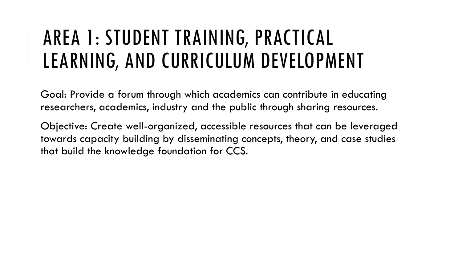# AREA 1: STUDENT TRAINING, PRACTICAL LEARNING, AND CURRICULUM DEVELOPMENT

Goal: Provide a forum through which academics can contribute in educating researchers, academics, industry and the public through sharing resources.

Objective: Create well-organized, accessible resources that can be leveraged towards capacity building by disseminating concepts, theory, and case studies that build the knowledge foundation for CCS.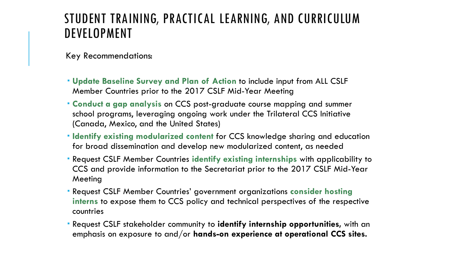#### STUDENT TRAINING, PRACTICAL LEARNING, AND CURRICULUM DEVELOPMENT

Key Recommendations:

- **Update Baseline Survey and Plan of Action** to include input from ALL CSLF Member Countries prior to the 2017 CSLF Mid-Year Meeting
- **Conduct a gap analysis** on CCS post-graduate course mapping and summer school programs, leveraging ongoing work under the Trilateral CCS Initiative (Canada, Mexico, and the United States)
- **Identify existing modularized content** for CCS knowledge sharing and education for broad dissemination and develop new modularized content, as needed
- Request CSLF Member Countries **identify existing internships** with applicability to CCS and provide information to the Secretariat prior to the 2017 CSLF Mid-Year Meeting
- Request CSLF Member Countries' government organizations **consider hosting interns** to expose them to CCS policy and technical perspectives of the respective countries
- Request CSLF stakeholder community to **identify internship opportunities,** with an emphasis on exposure to and/or **hands-on experience at operational CCS sites.**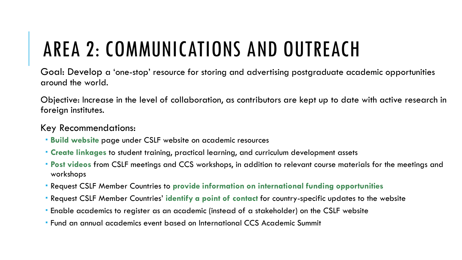# AREA 2: COMMUNICATIONS AND OUTREACH

Goal: Develop a 'one-stop' resource for storing and advertising postgraduate academic opportunities around the world.

Objective: Increase in the level of collaboration, as contributors are kept up to date with active research in foreign institutes.

#### Key Recommendations:

- **Build website** page under CSLF website on academic resources
- **Create linkages** to student training, practical learning, and curriculum development assets
- **Post videos** from CSLF meetings and CCS workshops, in addition to relevant course materials for the meetings and workshops
- Request CSLF Member Countries to **provide information on international funding opportunities**
- Request CSLF Member Countries' **identify a point of contact** for country-specific updates to the website
- Enable academics to register as an academic (instead of a stakeholder) on the CSLF website
- Fund an annual academics event based on International CCS Academic Summit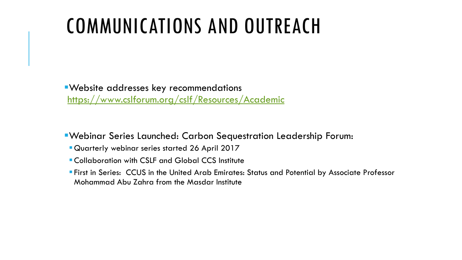# COMMUNICATIONS AND OUTREACH

Website addresses key recommendations <https://www.cslforum.org/cslf/Resources/Academic>

Webinar Series Launched: Carbon Sequestration Leadership Forum:

- Quarterly webinar series started 26 April 2017
- **E** Collaboration with CSLF and Global CCS Institute
- First in Series: CCUS in the United Arab Emirates: Status and Potential by Associate Professor Mohammad Abu Zahra from the Masdar Institute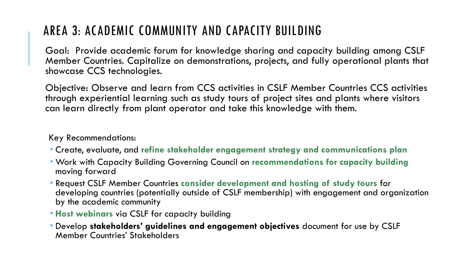### AREA 3: ACADEMIC COMMUNITY AND CAPACITY BUILDING

Goal: Provide academic forum for knowledge sharing and capacity building among CSLF Member Countries. Capitalize on demonstrations, projects, and fully operational plants that showcase CCS technologies.

Objective: Observe and learn from CCS activities in CSLF Member Countries CCS activities through experiential learning such as study tours of project sites and plants where visitors can learn directly from plant operator and take this knowledge with them.

Key Recommendations:

- Create, evaluate, and **refine stakeholder engagement strategy and communications plan**
- Work with Capacity Building Governing Council on **recommendations for capacity building**  moving forward
- Request CSLF Member Countries **consider development and hosting of study tours** for developing countries (potentially outside of CSLF membership) with engagement and organization by the academic community
- **Host webinars** via CSLF for capacity building
- Develop **stakeholders' guidelines and engagement objectives** document for use by CSLF Member Countries' Stakeholders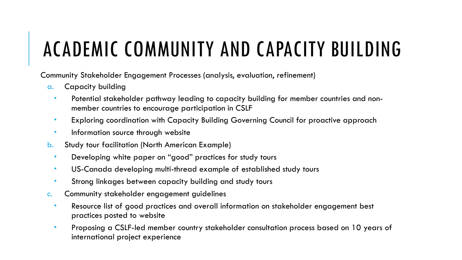# ACADEMIC COMMUNITY AND CAPACITY BUILDING

Community Stakeholder Engagement Processes (analysis, evaluation, refinement)

- a. Capacity building
	- Potential stakeholder pathway leading to capacity building for member countries and nonmember countries to encourage participation in CSLF
	- **Exploring coordination with Capacity Building Governing Council for proactive approach**
	- **Information source through website**
- b. Study tour facilitation (North American Example)
	- **Developing white paper on "good" practices for study tours**
	- US-Canada developing multi-thread example of established study tours
	- Strong linkages between capacity building and study tours
- c. Community stakeholder engagement guidelines
	- Resource list of good practices and overall information on stakeholder engagement best practices posted to website
	- Proposing a CSLF-led member country stakeholder consultation process based on 10 years of international project experience